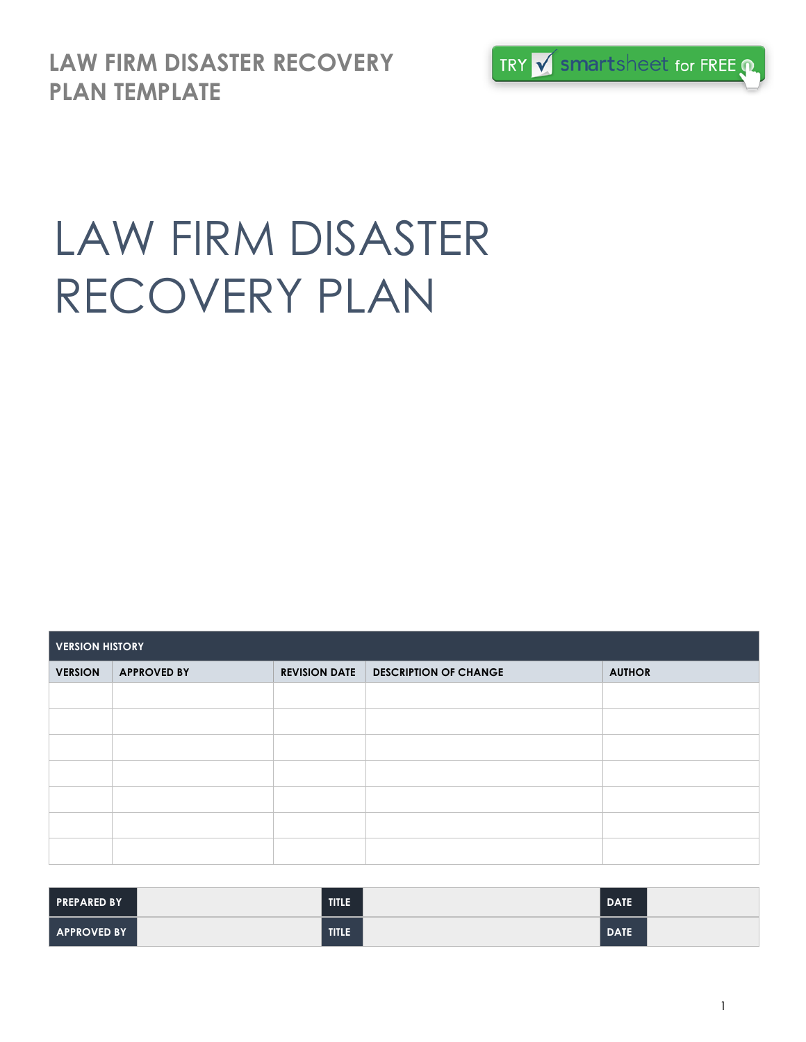**LAW FIRM DISASTER RECOVERY PLAN TEMPLATE**



# LAW FIRM DISASTER RECOVERY PLAN

| <b>VERSION HISTORY</b> |                    |                      |                              |               |  |  |  |
|------------------------|--------------------|----------------------|------------------------------|---------------|--|--|--|
| <b>VERSION</b>         | <b>APPROVED BY</b> | <b>REVISION DATE</b> | <b>DESCRIPTION OF CHANGE</b> | <b>AUTHOR</b> |  |  |  |
|                        |                    |                      |                              |               |  |  |  |
|                        |                    |                      |                              |               |  |  |  |
|                        |                    |                      |                              |               |  |  |  |
|                        |                    |                      |                              |               |  |  |  |
|                        |                    |                      |                              |               |  |  |  |
|                        |                    |                      |                              |               |  |  |  |
|                        |                    |                      |                              |               |  |  |  |

| <b>PREPARED BY</b> | <b>TITLE</b> | <b>DATE</b> |  |
|--------------------|--------------|-------------|--|
| APPROVED BY        | <b>TITLE</b> | DATE.       |  |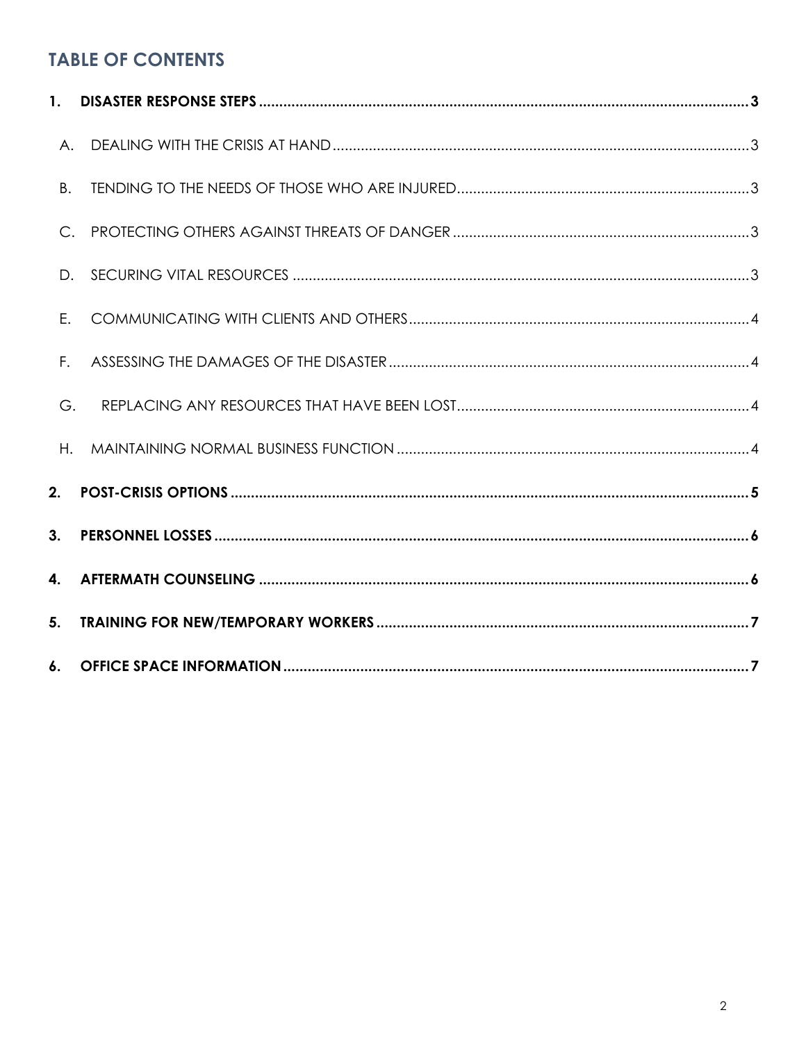## **TABLE OF CONTENTS**

| <b>B.</b>   |  |
|-------------|--|
| $C_{\cdot}$ |  |
|             |  |
| E.          |  |
| $F_{\star}$ |  |
| G.          |  |
| $H_{\star}$ |  |
| 2.          |  |
| 3.          |  |
| 4.          |  |
| 5.          |  |
|             |  |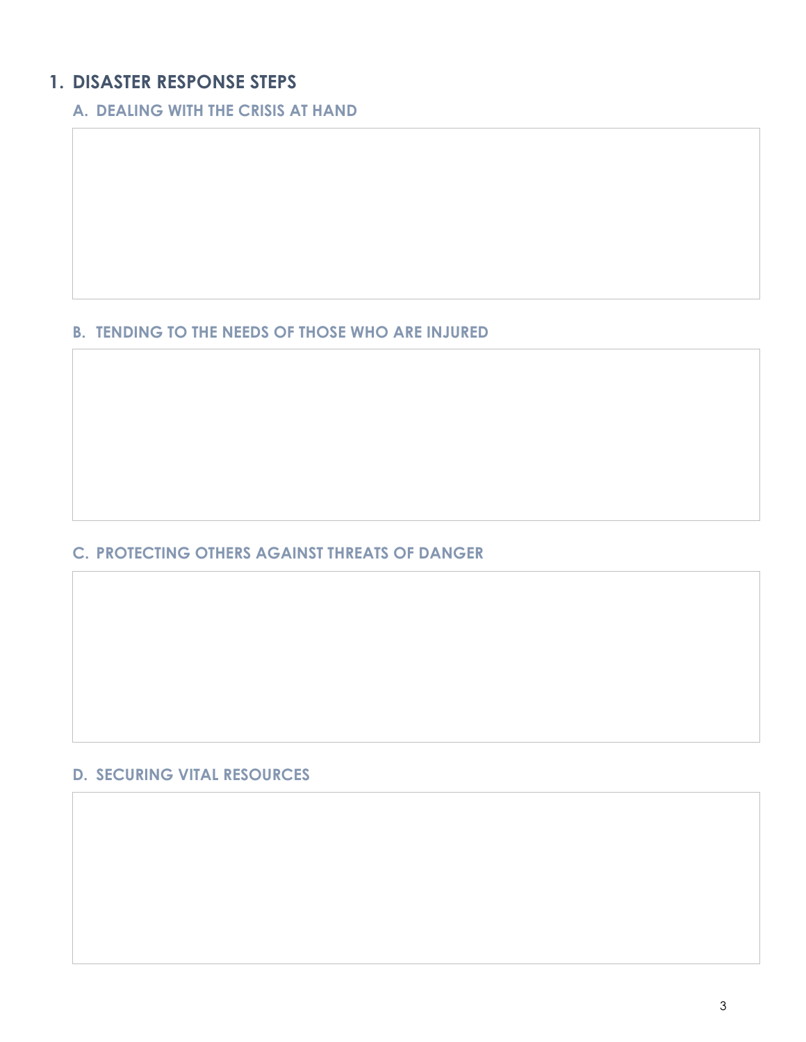## **1. DISASTER RESPONSE STEPS**

**A. DEALING WITH THE CRISIS AT HAND**

#### **B. TENDING TO THE NEEDS OF THOSE WHO ARE INJURED**

#### **C. PROTECTING OTHERS AGAINST THREATS OF DANGER**

#### **D. SECURING VITAL RESOURCES**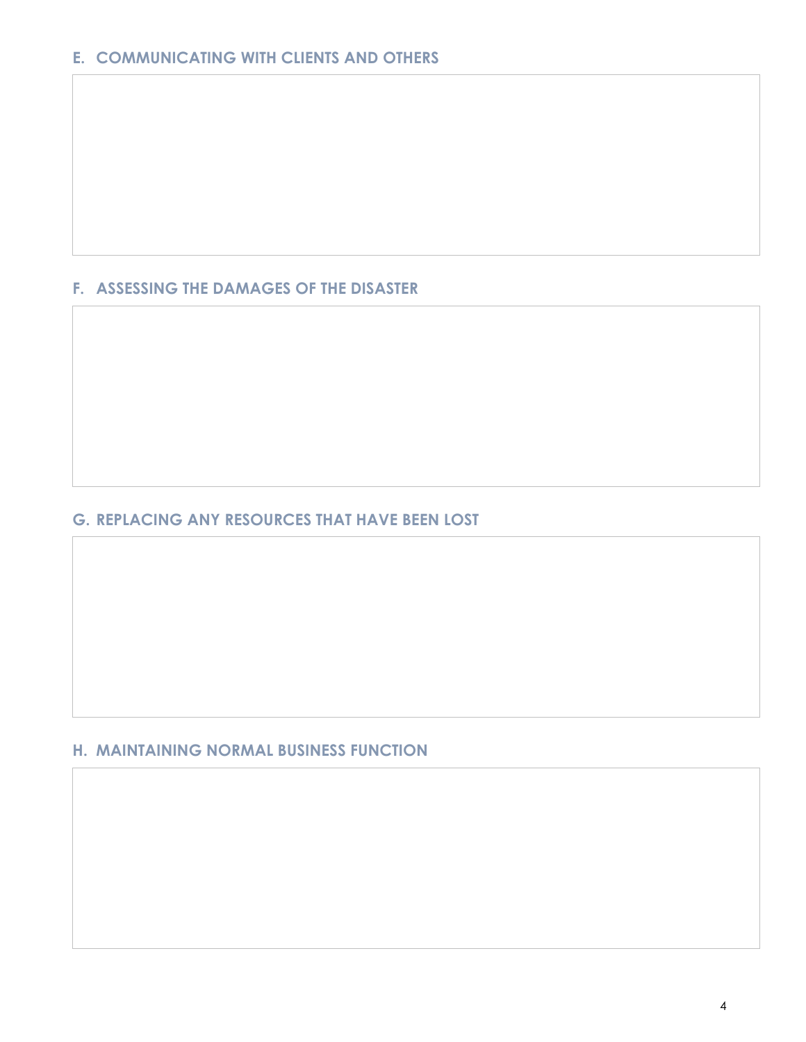### **F. ASSESSING THE DAMAGES OF THE DISASTER**

#### **G. REPLACING ANY RESOURCES THAT HAVE BEEN LOST**

### **H. MAINTAINING NORMAL BUSINESS FUNCTION**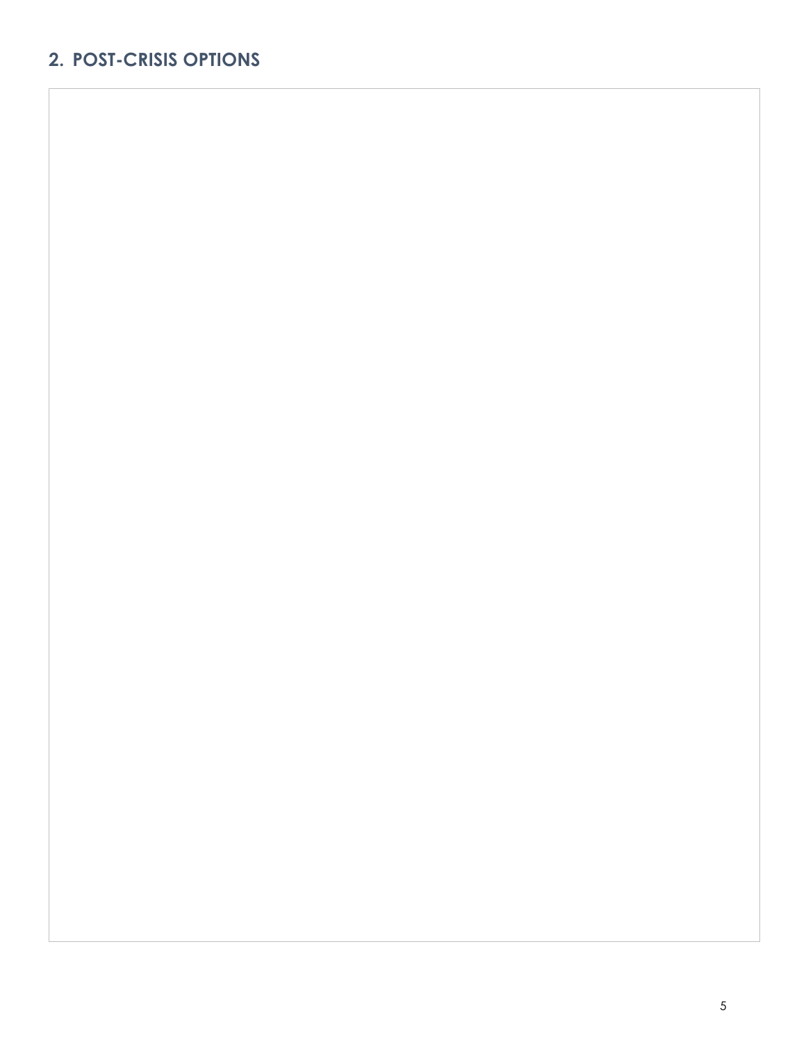## **2. POST-CRISIS OPTIONS**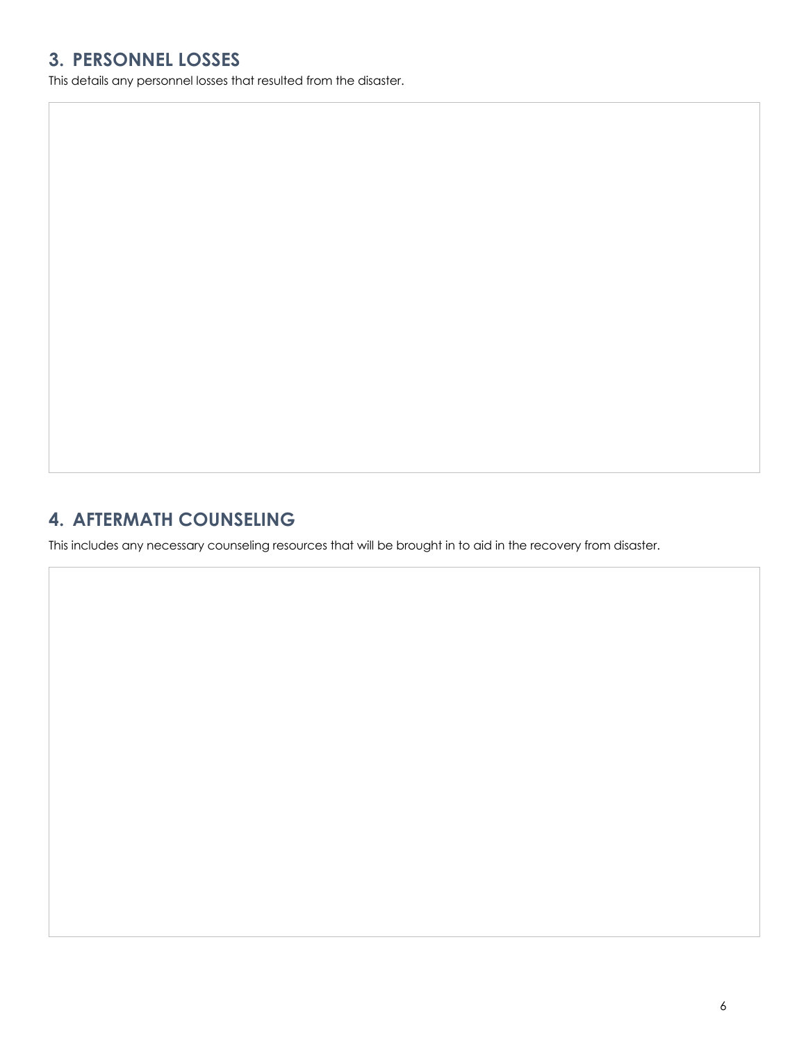## **3. PERSONNEL LOSSES**

This details any personnel losses that resulted from the disaster.

## **4. AFTERMATH COUNSELING**

This includes any necessary counseling resources that will be brought in to aid in the recovery from disaster.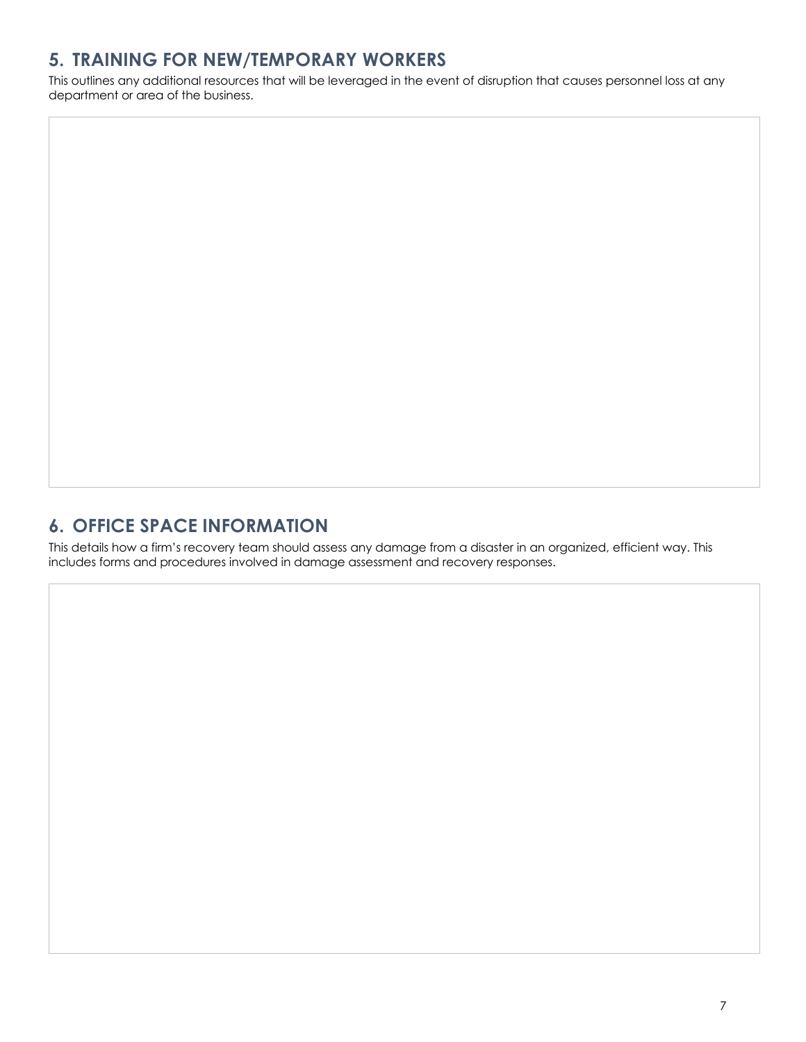## **5. TRAINING FOR NEW/TEMPORARY WORKERS**

This outlines any additional resources that will be leveraged in the event of disruption that causes personnel loss at any department or area of the business.

## **6. OFFICE SPACE INFORMATION**

This details how a firm's recovery team should assess any damage from a disaster in an organized, efficient way. This includes forms and procedures involved in damage assessment and recovery responses.